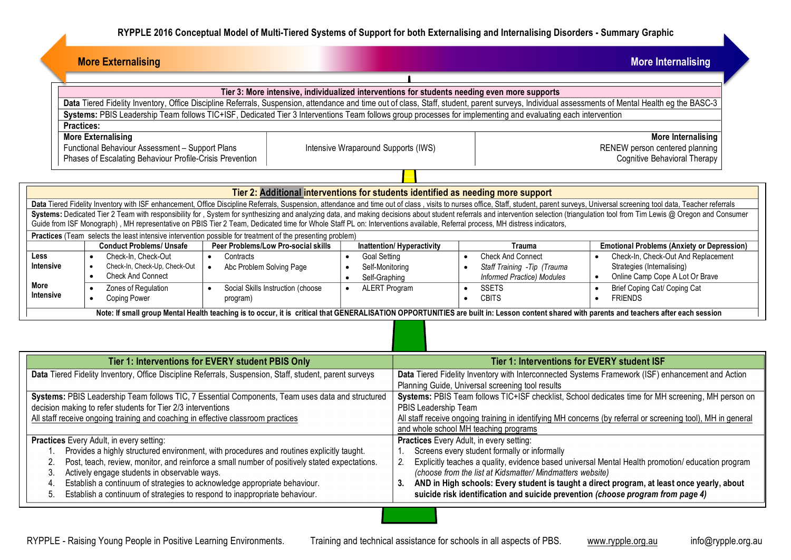| <b>More Externalising</b>                                                                                                                                                                                                                                                                                                                                                                                                                                        | <b>More Internalising</b>                                                                                                                                                        |                                                            |                                                                                                              |                                                                                                   |                                                               |  |  |  |
|------------------------------------------------------------------------------------------------------------------------------------------------------------------------------------------------------------------------------------------------------------------------------------------------------------------------------------------------------------------------------------------------------------------------------------------------------------------|----------------------------------------------------------------------------------------------------------------------------------------------------------------------------------|------------------------------------------------------------|--------------------------------------------------------------------------------------------------------------|---------------------------------------------------------------------------------------------------|---------------------------------------------------------------|--|--|--|
|                                                                                                                                                                                                                                                                                                                                                                                                                                                                  |                                                                                                                                                                                  |                                                            |                                                                                                              |                                                                                                   |                                                               |  |  |  |
| Tier 3: More intensive, individualized interventions for students needing even more supports                                                                                                                                                                                                                                                                                                                                                                     |                                                                                                                                                                                  |                                                            |                                                                                                              |                                                                                                   |                                                               |  |  |  |
| Data Tiered Fidelity Inventory, Office Discipline Referrals, Suspension, attendance and time out of class, Staff, student, parent surveys, Individual assessments of Mental Health eg the BASC-3<br>Systems: PBIS Leadership Team follows TIC+ISF, Dedicated Tier 3 Interventions Team follows group processes for implementing and evaluating each intervention                                                                                                 |                                                                                                                                                                                  |                                                            |                                                                                                              |                                                                                                   |                                                               |  |  |  |
| <b>Practices:</b>                                                                                                                                                                                                                                                                                                                                                                                                                                                |                                                                                                                                                                                  |                                                            |                                                                                                              |                                                                                                   |                                                               |  |  |  |
| <b>More Externalising</b>                                                                                                                                                                                                                                                                                                                                                                                                                                        |                                                                                                                                                                                  | <b>More Internalising</b>                                  |                                                                                                              |                                                                                                   |                                                               |  |  |  |
| Functional Behaviour Assessment - Support Plans                                                                                                                                                                                                                                                                                                                                                                                                                  |                                                                                                                                                                                  | Intensive Wraparound Supports (IWS)                        |                                                                                                              | RENEW person centered planning                                                                    |                                                               |  |  |  |
| Phases of Escalating Behaviour Profile-Crisis Prevention                                                                                                                                                                                                                                                                                                                                                                                                         |                                                                                                                                                                                  | Cognitive Behavioral Therapy                               |                                                                                                              |                                                                                                   |                                                               |  |  |  |
|                                                                                                                                                                                                                                                                                                                                                                                                                                                                  |                                                                                                                                                                                  |                                                            |                                                                                                              |                                                                                                   |                                                               |  |  |  |
| Tier 2: Additional interventions for students identified as needing more support                                                                                                                                                                                                                                                                                                                                                                                 |                                                                                                                                                                                  |                                                            |                                                                                                              |                                                                                                   |                                                               |  |  |  |
| Data Tiered Fidelity Inventory with ISF enhancement, Office Discipline Referrals, Suspension, attendance and time out of class, visits to nurses office, Staff, student, parent surveys, Universal screening tool data, Teache<br>Systems: Dedicated Tier 2 Team with responsibility for, System for synthesizing and analyzing data, and making decisions about student referrals and intervention selection (triangulation tool from Tim Lewis @ Oregon and Co |                                                                                                                                                                                  |                                                            |                                                                                                              |                                                                                                   |                                                               |  |  |  |
| Guide from ISF Monograph), MH representative on PBIS Tier 2 Team, Dedicated time for Whole Staff PL on: Interventions available, Referral process, MH distress indicators,                                                                                                                                                                                                                                                                                       |                                                                                                                                                                                  |                                                            |                                                                                                              |                                                                                                   |                                                               |  |  |  |
| Practices (Team selects the least intensive intervention possible for treatment of the presenting problem)                                                                                                                                                                                                                                                                                                                                                       |                                                                                                                                                                                  |                                                            |                                                                                                              |                                                                                                   |                                                               |  |  |  |
| <b>Conduct Problems/ Unsafe</b>                                                                                                                                                                                                                                                                                                                                                                                                                                  | Peer Problems/Low Pro-social skills                                                                                                                                              |                                                            | <b>Inattention/ Hyperactivity</b>                                                                            | <b>Trauma</b>                                                                                     | <b>Emotional Problems (Anxiety or Depression)</b>             |  |  |  |
| Less<br>Check-In. Check-Out<br>$\bullet$<br><b>Intensive</b>                                                                                                                                                                                                                                                                                                                                                                                                     | Contracts<br>$\bullet$                                                                                                                                                           | <b>Goal Setting</b><br>$\bullet$                           |                                                                                                              | <b>Check And Connect</b>                                                                          | Check-In, Check-Out And Replacement                           |  |  |  |
| Check-In, Check-Up, Check-Out<br><b>Check And Connect</b><br>$\bullet$                                                                                                                                                                                                                                                                                                                                                                                           | Abc Problem Solving Page<br>$\bullet$                                                                                                                                            | Self-Monitoring<br>$\bullet$<br>Self-Graphing<br>$\bullet$ |                                                                                                              | Staff Training - Tip (Trauma<br>$\bullet$<br>Informed Practice) Modules                           | Strategies (Internalising)<br>Online Camp Cope A Lot Or Brave |  |  |  |
| More<br>Zones of Regulation                                                                                                                                                                                                                                                                                                                                                                                                                                      | Social Skills Instruction (choose                                                                                                                                                | <b>ALERT Program</b><br>$\bullet$                          |                                                                                                              | <b>SSETS</b><br>$\bullet$                                                                         | Brief Coping Cat/ Coping Cat                                  |  |  |  |
| <b>Intensive</b><br>Coping Power                                                                                                                                                                                                                                                                                                                                                                                                                                 | program)                                                                                                                                                                         |                                                            |                                                                                                              | <b>CBITS</b><br>$\bullet$                                                                         | <b>FRIENDS</b><br>$\bullet$                                   |  |  |  |
| Note: If small group Mental Health teaching is to occur, it is critical that GENERALISATION OPPORTUNITIES are built in: Lesson content shared with parents and teachers after each session                                                                                                                                                                                                                                                                       |                                                                                                                                                                                  |                                                            |                                                                                                              |                                                                                                   |                                                               |  |  |  |
|                                                                                                                                                                                                                                                                                                                                                                                                                                                                  |                                                                                                                                                                                  |                                                            |                                                                                                              |                                                                                                   |                                                               |  |  |  |
|                                                                                                                                                                                                                                                                                                                                                                                                                                                                  |                                                                                                                                                                                  |                                                            |                                                                                                              |                                                                                                   |                                                               |  |  |  |
|                                                                                                                                                                                                                                                                                                                                                                                                                                                                  |                                                                                                                                                                                  |                                                            | Tier 1: Interventions for EVERY student ISF                                                                  |                                                                                                   |                                                               |  |  |  |
|                                                                                                                                                                                                                                                                                                                                                                                                                                                                  | Tier 1: Interventions for EVERY student PBIS Only<br>Data Tiered Fidelity Inventory, Office Discipline Referrals, Suspension, Staff, student, parent surveys                     |                                                            |                                                                                                              | Data Tiered Fidelity Inventory with Interconnected Systems Framework (ISF) enhancement and Action |                                                               |  |  |  |
|                                                                                                                                                                                                                                                                                                                                                                                                                                                                  |                                                                                                                                                                                  |                                                            | Planning Guide, Universal screening tool results                                                             |                                                                                                   |                                                               |  |  |  |
| Systems: PBIS Leadership Team follows TIC, 7 Essential Components, Team uses data and structured                                                                                                                                                                                                                                                                                                                                                                 |                                                                                                                                                                                  |                                                            | Systems: PBIS Team follows TIC+ISF checklist, School dedicates time for MH screening, MH person on           |                                                                                                   |                                                               |  |  |  |
| decision making to refer students for Tier 2/3 interventions                                                                                                                                                                                                                                                                                                                                                                                                     |                                                                                                                                                                                  |                                                            | PBIS Leadership Team                                                                                         |                                                                                                   |                                                               |  |  |  |
| All staff receive ongoing training and coaching in effective classroom practices                                                                                                                                                                                                                                                                                                                                                                                 |                                                                                                                                                                                  |                                                            | All staff receive ongoing training in identifying MH concerns (by referral or screening tool), MH in general |                                                                                                   |                                                               |  |  |  |
| Practices Every Adult, in every setting:                                                                                                                                                                                                                                                                                                                                                                                                                         |                                                                                                                                                                                  |                                                            | and whole school MH teaching programs<br>Practices Every Adult, in every setting:                            |                                                                                                   |                                                               |  |  |  |
| Provides a highly structured environment, with procedures and routines explicitly taught.<br>$1_{\cdot}$                                                                                                                                                                                                                                                                                                                                                         |                                                                                                                                                                                  |                                                            | 1. Screens every student formally or informally                                                              |                                                                                                   |                                                               |  |  |  |
| Post, teach, review, monitor, and reinforce a small number of positively stated expectations.<br>2.                                                                                                                                                                                                                                                                                                                                                              |                                                                                                                                                                                  |                                                            | 2.<br>Explicitly teaches a quality, evidence based universal Mental Health promotion/ education program      |                                                                                                   |                                                               |  |  |  |
| Actively engage students in observable ways.<br>3.                                                                                                                                                                                                                                                                                                                                                                                                               | (choose from the list at Kidsmatter/ Mindmatters website)                                                                                                                        |                                                            |                                                                                                              |                                                                                                   |                                                               |  |  |  |
| Establish a continuum of strategies to acknowledge appropriate behaviour.<br>4.<br>Establish a continuum of strategies to respond to inappropriate behaviour.                                                                                                                                                                                                                                                                                                    | 3. AND in High schools: Every student is taught a direct program, at least once yearly, about<br>suicide risk identification and suicide prevention (choose program from page 4) |                                                            |                                                                                                              |                                                                                                   |                                                               |  |  |  |
| 5.                                                                                                                                                                                                                                                                                                                                                                                                                                                               |                                                                                                                                                                                  |                                                            |                                                                                                              |                                                                                                   |                                                               |  |  |  |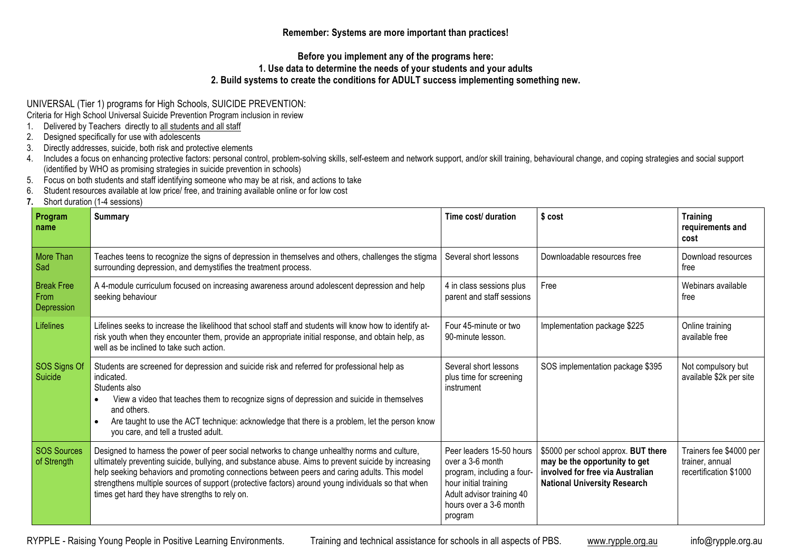**Remember: Systems are more important than practices!**

**Before you implement any of the programs here:**

## **1. Use data to determine the needs of your students and your adults**

## **2. Build systems to create the conditions for ADULT success implementing something new.**

UNIVERSAL (Tier 1) programs for High Schools, SUICIDE PREVENTION:

Criteria for High School Universal Suicide Prevention Program inclusion in review

- 1. Delivered by Teachers directly to all students and all staff
- 2. Designed specifically for use with adolescents
- 3. Directly addresses, suicide, both risk and protective elements
- 4. Includes a focus on enhancing protective factors: personal control, problem-solving skills, self-esteem and network support, and/or skill training, behavioural change, and coping strategies and social support (identified by WHO as promising strategies in suicide prevention in schools)
- 5. Focus on both students and staff identifying someone who may be at risk, and actions to take
- 6. Student resources available at low price/ free, and training available online or for low cost
- **7.** Short duration (1-4 sessions)

| Program<br>name                         | <b>Summary</b>                                                                                                                                                                                                                                                                                                                                                                                                                                              | Time cost/ duration                                                                                                                                                   | \$ cost                                                                                                                                         | <b>Training</b><br>requirements and<br>cost                          |
|-----------------------------------------|-------------------------------------------------------------------------------------------------------------------------------------------------------------------------------------------------------------------------------------------------------------------------------------------------------------------------------------------------------------------------------------------------------------------------------------------------------------|-----------------------------------------------------------------------------------------------------------------------------------------------------------------------|-------------------------------------------------------------------------------------------------------------------------------------------------|----------------------------------------------------------------------|
| More Than<br>Sad                        | Teaches teens to recognize the signs of depression in themselves and others, challenges the stigma<br>surrounding depression, and demystifies the treatment process.                                                                                                                                                                                                                                                                                        | Several short lessons                                                                                                                                                 | Downloadable resources free                                                                                                                     | Download resources<br>free                                           |
| <b>Break Free</b><br>From<br>Depression | A 4-module curriculum focused on increasing awareness around adolescent depression and help<br>seeking behaviour                                                                                                                                                                                                                                                                                                                                            | 4 in class sessions plus<br>parent and staff sessions                                                                                                                 | Free                                                                                                                                            | Webinars available<br>free                                           |
| Lifelines                               | Lifelines seeks to increase the likelihood that school staff and students will know how to identify at-<br>risk youth when they encounter them, provide an appropriate initial response, and obtain help, as<br>well as be inclined to take such action.                                                                                                                                                                                                    | Four 45-minute or two<br>90-minute lesson.                                                                                                                            | Implementation package \$225                                                                                                                    | Online training<br>available free                                    |
| SOS Signs Of<br>Suicide                 | Students are screened for depression and suicide risk and referred for professional help as<br>indicated.<br>Students also<br>View a video that teaches them to recognize signs of depression and suicide in themselves<br>and others.<br>Are taught to use the ACT technique: acknowledge that there is a problem, let the person know<br>you care, and tell a trusted adult.                                                                              | Several short lessons<br>plus time for screening<br>instrument                                                                                                        | SOS implementation package \$395                                                                                                                | Not compulsory but<br>available \$2k per site                        |
| <b>SOS Sources</b><br>of Strength       | Designed to harness the power of peer social networks to change unhealthy norms and culture,<br>ultimately preventing suicide, bullying, and substance abuse. Aims to prevent suicide by increasing<br>help seeking behaviors and promoting connections between peers and caring adults. This model<br>strengthens multiple sources of support (protective factors) around young individuals so that when<br>times get hard they have strengths to rely on. | Peer leaders 15-50 hours<br>over a 3-6 month<br>program, including a four-<br>hour initial training<br>Adult advisor training 40<br>hours over a 3-6 month<br>program | \$5000 per school approx. BUT there<br>may be the opportunity to get<br>involved for free via Australian<br><b>National University Research</b> | Trainers fee \$4000 per<br>trainer, annual<br>recertification \$1000 |